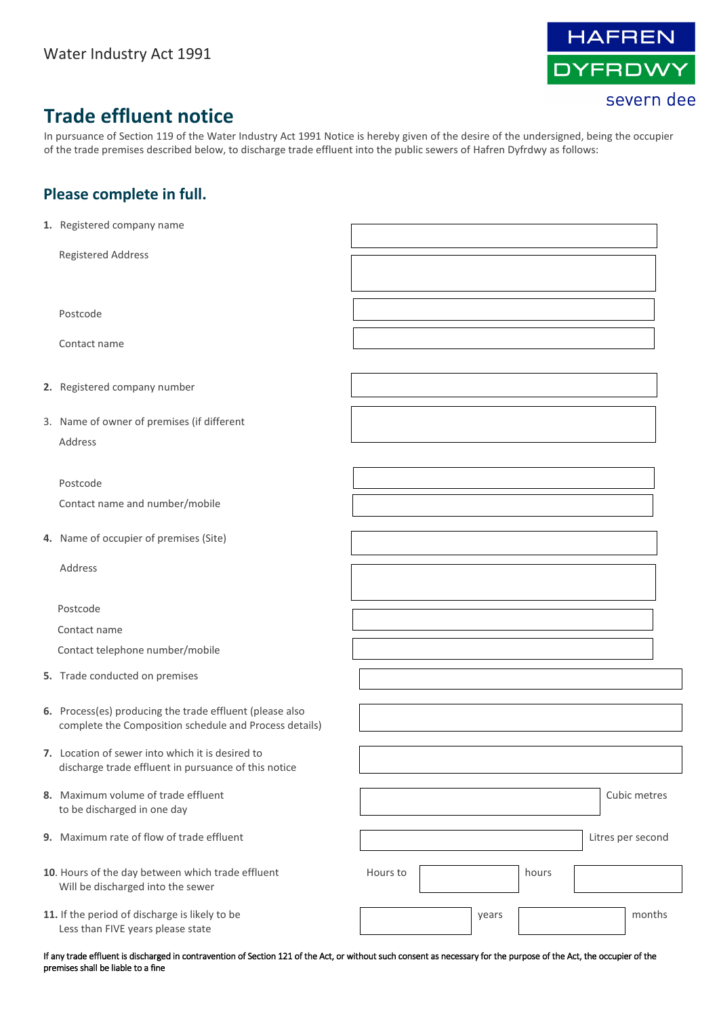

## **Trade effluent notice**

In pursuance of Section 119 of the Water Industry Act 1991 Notice is hereby given of the desire of the undersigned, being the occupier of the trade premises described below, to discharge trade effluent into the public sewers of Hafren Dyfrdwy as follows:

## **Please complete in full.**

| 1. Registered company name                                                                                         |          |       |       |                   |
|--------------------------------------------------------------------------------------------------------------------|----------|-------|-------|-------------------|
| <b>Registered Address</b>                                                                                          |          |       |       |                   |
|                                                                                                                    |          |       |       |                   |
| Postcode                                                                                                           |          |       |       |                   |
|                                                                                                                    |          |       |       |                   |
| Contact name                                                                                                       |          |       |       |                   |
| 2. Registered company number                                                                                       |          |       |       |                   |
| 3. Name of owner of premises (if different                                                                         |          |       |       |                   |
| Address                                                                                                            |          |       |       |                   |
|                                                                                                                    |          |       |       |                   |
| Postcode<br>Contact name and number/mobile                                                                         |          |       |       |                   |
|                                                                                                                    |          |       |       |                   |
| 4. Name of occupier of premises (Site)                                                                             |          |       |       |                   |
| Address                                                                                                            |          |       |       |                   |
|                                                                                                                    |          |       |       |                   |
| Postcode                                                                                                           |          |       |       |                   |
| Contact name                                                                                                       |          |       |       |                   |
| Contact telephone number/mobile                                                                                    |          |       |       |                   |
| 5. Trade conducted on premises                                                                                     |          |       |       |                   |
| 6. Process(es) producing the trade effluent (please also<br>complete the Composition schedule and Process details) |          |       |       |                   |
| 7. Location of sewer into which it is desired to<br>discharge trade effluent in pursuance of this notice           |          |       |       |                   |
| 8. Maximum volume of trade effluent<br>to be discharged in one day                                                 |          |       |       | Cubic metres      |
| 9. Maximum rate of flow of trade effluent                                                                          |          |       |       | Litres per second |
| 10. Hours of the day between which trade effluent<br>Will be discharged into the sewer                             | Hours to |       | hours |                   |
| 11. If the period of discharge is likely to be<br>Less than FIVE years please state                                |          | years |       | months            |

If any trade effluent is discharged in contravention of Section 121 of the Act, or without such consent as necessary for the purpose of the Act, the occupier of the premises shall be liable to a fine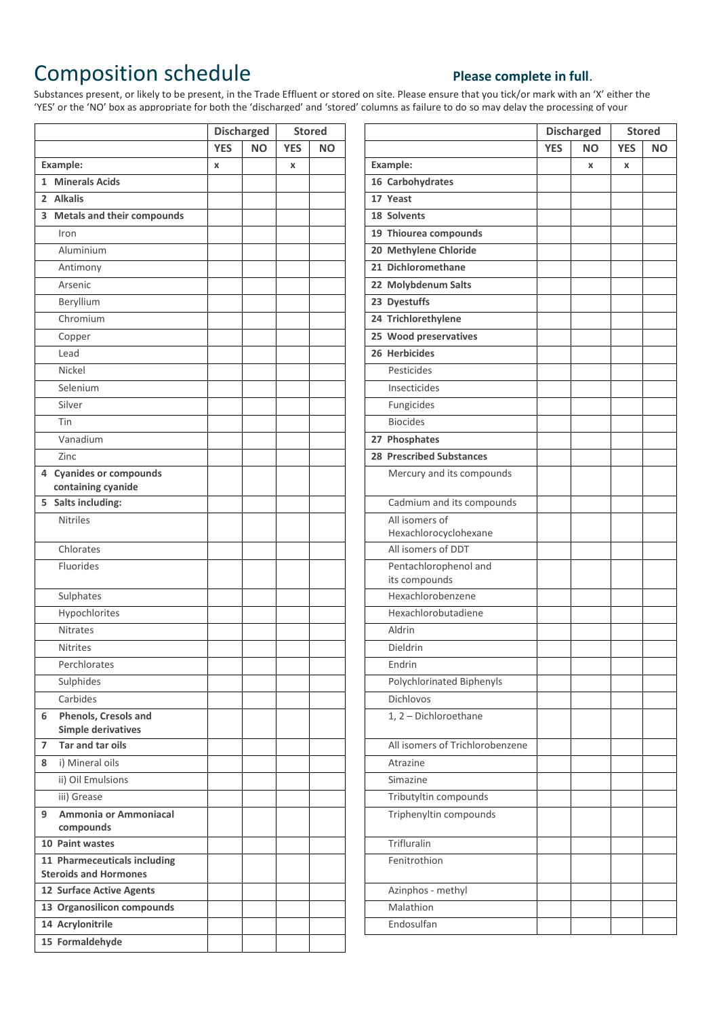## Composition schedule **Please complete in full**.

## Start date (if applicable):  $\mathsf{P}}$  and  $\mathsf{P}}$

Substances present, or likely to be present, in the Trade Effluent or stored on site. Please ensure that you tick/or mark with an 'X' either the 'YES' or the 'NO' box as appropriate for both the 'discharged' and 'stored' columns as failure to do so may delay the processing of your

|                                                              |            | <b>Discharged</b> |            | <b>Stored</b> |                                        |            | <b>Discharged</b> |    |
|--------------------------------------------------------------|------------|-------------------|------------|---------------|----------------------------------------|------------|-------------------|----|
|                                                              | <b>YES</b> | <b>NO</b>         | <b>YES</b> | <b>NO</b>     |                                        | <b>YES</b> | <b>NO</b>         | YE |
| Example:                                                     | X          |                   | X          |               | Example:                               |            | $\mathbf x$       | X  |
| 1 Minerals Acids                                             |            |                   |            |               | 16 Carbohydrates                       |            |                   |    |
| 2 Alkalis                                                    |            |                   |            |               | 17 Yeast                               |            |                   |    |
| 3 Metals and their compounds                                 |            |                   |            |               | 18 Solvents                            |            |                   |    |
| Iron                                                         |            |                   |            |               | 19 Thiourea compounds                  |            |                   |    |
| Aluminium                                                    |            |                   |            |               | 20 Methylene Chloride                  |            |                   |    |
| Antimony                                                     |            |                   |            |               | 21 Dichloromethane                     |            |                   |    |
| Arsenic                                                      |            |                   |            |               | 22 Molybdenum Salts                    |            |                   |    |
| Beryllium                                                    |            |                   |            |               | 23 Dyestuffs                           |            |                   |    |
| Chromium                                                     |            |                   |            |               | 24 Trichlorethylene                    |            |                   |    |
| Copper                                                       |            |                   |            |               | 25 Wood preservatives                  |            |                   |    |
| Lead                                                         |            |                   |            |               | 26 Herbicides                          |            |                   |    |
| Nickel                                                       |            |                   |            |               | Pesticides                             |            |                   |    |
| Selenium                                                     |            |                   |            |               | Insecticides                           |            |                   |    |
| Silver                                                       |            |                   |            |               | Fungicides                             |            |                   |    |
| Tin                                                          |            |                   |            |               | <b>Biocides</b>                        |            |                   |    |
| Vanadium                                                     |            |                   |            |               | 27 Phosphates                          |            |                   |    |
| Zinc                                                         |            |                   |            |               | <b>28 Prescribed Substances</b>        |            |                   |    |
| 4 Cyanides or compounds                                      |            |                   |            |               | Mercury and its compounds              |            |                   |    |
| containing cyanide                                           |            |                   |            |               |                                        |            |                   |    |
| 5 Salts including:                                           |            |                   |            |               | Cadmium and its compounds              |            |                   |    |
| <b>Nitriles</b>                                              |            |                   |            |               | All isomers of                         |            |                   |    |
|                                                              |            |                   |            |               | Hexachlorocyclohexane                  |            |                   |    |
| Chlorates                                                    |            |                   |            |               | All isomers of DDT                     |            |                   |    |
| Fluorides                                                    |            |                   |            |               | Pentachlorophenol and<br>its compounds |            |                   |    |
| Sulphates                                                    |            |                   |            |               | Hexachlorobenzene                      |            |                   |    |
| Hypochlorites                                                |            |                   |            |               | Hexachlorobutadiene                    |            |                   |    |
| <b>Nitrates</b>                                              |            |                   |            |               | Aldrin                                 |            |                   |    |
| <b>Nitrites</b>                                              |            |                   |            |               | Dieldrin                               |            |                   |    |
| Perchlorates                                                 |            |                   |            |               | Endrin                                 |            |                   |    |
| Sulphides                                                    |            |                   |            |               | Polychlorinated Biphenyls              |            |                   |    |
| Carbides                                                     |            |                   |            |               | Dichlovos                              |            |                   |    |
| Phenols, Cresols and<br>6                                    |            |                   |            |               | 1, 2 - Dichloroethane                  |            |                   |    |
| <b>Simple derivatives</b>                                    |            |                   |            |               |                                        |            |                   |    |
| Tar and tar oils<br>7                                        |            |                   |            |               | All isomers of Trichlorobenzene        |            |                   |    |
| i) Mineral oils<br>8                                         |            |                   |            |               | Atrazine                               |            |                   |    |
| ii) Oil Emulsions                                            |            |                   |            |               | Simazine                               |            |                   |    |
| iii) Grease                                                  |            |                   |            |               | Tributyltin compounds                  |            |                   |    |
| Ammonia or Ammoniacal<br>9                                   |            |                   |            |               | Triphenyltin compounds                 |            |                   |    |
| compounds                                                    |            |                   |            |               |                                        |            |                   |    |
| 10 Paint wastes                                              |            |                   |            |               | Trifluralin                            |            |                   |    |
| 11 Pharmeceuticals including<br><b>Steroids and Hormones</b> |            |                   |            |               | Fenitrothion                           |            |                   |    |
| 12 Surface Active Agents                                     |            |                   |            |               | Azinphos - methyl                      |            |                   |    |
| 13 Organosilicon compounds                                   |            |                   |            |               | Malathion                              |            |                   |    |
| 14 Acrylonitrile                                             |            |                   |            |               | Endosulfan                             |            |                   |    |
| 15 Formaldehyde                                              |            |                   |            |               |                                        |            |                   |    |

| <b>Discharged</b> |           | <b>Stored</b> |           | <b>Discharged</b>                       |            | <b>Stored</b> |            |  |
|-------------------|-----------|---------------|-----------|-----------------------------------------|------------|---------------|------------|--|
| <b>YES</b>        | <b>NO</b> | <b>YES</b>    | <b>NO</b> |                                         | <b>YES</b> | <b>NO</b>     | <b>YES</b> |  |
| X                 |           | x             |           | Example:                                |            | $\pmb{\chi}$  | x          |  |
|                   |           |               |           | 16 Carbohydrates                        |            |               |            |  |
|                   |           |               |           | 17 Yeast                                |            |               |            |  |
|                   |           |               |           | 18 Solvents                             |            |               |            |  |
|                   |           |               |           | 19 Thiourea compounds                   |            |               |            |  |
|                   |           |               |           | 20 Methylene Chloride                   |            |               |            |  |
|                   |           |               |           | 21 Dichloromethane                      |            |               |            |  |
|                   |           |               |           | 22 Molybdenum Salts                     |            |               |            |  |
|                   |           |               |           | 23 Dyestuffs                            |            |               |            |  |
|                   |           |               |           | 24 Trichlorethylene                     |            |               |            |  |
|                   |           |               |           | 25 Wood preservatives                   |            |               |            |  |
|                   |           |               |           | 26 Herbicides                           |            |               |            |  |
|                   |           |               |           | Pesticides                              |            |               |            |  |
|                   |           |               |           | Insecticides                            |            |               |            |  |
|                   |           |               |           | Fungicides                              |            |               |            |  |
|                   |           |               |           | <b>Biocides</b>                         |            |               |            |  |
|                   |           |               |           | 27 Phosphates                           |            |               |            |  |
|                   |           |               |           | <b>28 Prescribed Substances</b>         |            |               |            |  |
|                   |           |               |           | Mercury and its compounds               |            |               |            |  |
|                   |           |               |           | Cadmium and its compounds               |            |               |            |  |
|                   |           |               |           | All isomers of<br>Hexachlorocyclohexane |            |               |            |  |
|                   |           |               |           | All isomers of DDT                      |            |               |            |  |
|                   |           |               |           | Pentachlorophenol and<br>its compounds  |            |               |            |  |
|                   |           |               |           | Hexachlorobenzene                       |            |               |            |  |
|                   |           |               |           | Hexachlorobutadiene                     |            |               |            |  |
|                   |           |               |           | Aldrin                                  |            |               |            |  |
|                   |           |               |           | Dieldrin                                |            |               |            |  |
|                   |           |               |           | Endrin                                  |            |               |            |  |
|                   |           |               |           | Polychlorinated Biphenyls               |            |               |            |  |
|                   |           |               |           | Dichlovos                               |            |               |            |  |
|                   |           |               |           | 1, 2 - Dichloroethane                   |            |               |            |  |
|                   |           |               |           | All isomers of Trichlorobenzene         |            |               |            |  |
|                   |           |               |           | Atrazine                                |            |               |            |  |
|                   |           |               |           | Simazine                                |            |               |            |  |
|                   |           |               |           | Tributyltin compounds                   |            |               |            |  |
|                   |           |               |           | Triphenyltin compounds                  |            |               |            |  |
|                   |           |               |           | Trifluralin                             |            |               |            |  |
|                   |           |               |           | Fenitrothion                            |            |               |            |  |
|                   |           |               |           | Azinphos - methyl                       |            |               |            |  |
|                   |           |               |           | Malathion                               |            |               |            |  |
|                   |           |               |           | Endosulfan                              |            |               |            |  |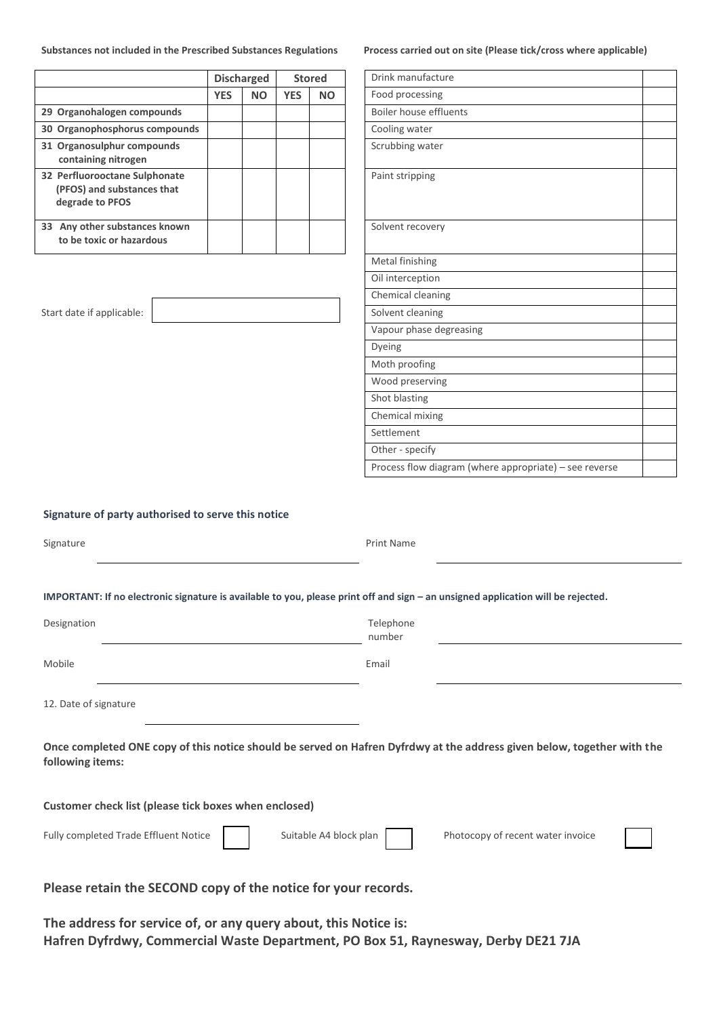**Substances not included in the Prescribed Substances Regulations Process carried out on site (Please tick/cross where applicable)**

|                                                                                |            | <b>Discharged</b><br><b>Stored</b> |            |           |                        | Drink manufacture |
|--------------------------------------------------------------------------------|------------|------------------------------------|------------|-----------|------------------------|-------------------|
|                                                                                | <b>YES</b> | <b>NO</b>                          | <b>YES</b> | <b>NO</b> | Food processing        |                   |
| 29 Organohalogen compounds                                                     |            |                                    |            |           | Boiler house effluents |                   |
| 30 Organophosphorus compounds                                                  |            |                                    |            |           | Cooling water          |                   |
| 31 Organosulphur compounds<br>containing nitrogen                              |            |                                    |            |           | Scrubbing water        |                   |
| 32 Perfluorooctane Sulphonate<br>(PFOS) and substances that<br>degrade to PFOS |            |                                    |            |           | Paint stripping        |                   |
| Any other substances known<br>33<br>to be toxic or hazardous                   |            |                                    |            |           | Solvent recovery       |                   |

| Drink manufacture                                      |  |
|--------------------------------------------------------|--|
| Food processing                                        |  |
| <b>Boiler house effluents</b>                          |  |
| Cooling water                                          |  |
| Scrubbing water                                        |  |
| Paint stripping                                        |  |
| Solvent recovery                                       |  |
| Metal finishing                                        |  |
| Oil interception                                       |  |
| Chemical cleaning                                      |  |
| Solvent cleaning                                       |  |
| Vapour phase degreasing                                |  |
| Dyeing                                                 |  |
| Moth proofing                                          |  |
| Wood preserving                                        |  |
| Shot blasting                                          |  |
| Chemical mixing                                        |  |
| Settlement                                             |  |
| Other - specify                                        |  |
| Process flow diagram (where appropriate) - see reverse |  |

Start date if applicable:

|  | Signature of party authorised to serve this notice |  |  |
|--|----------------------------------------------------|--|--|
|  |                                                    |  |  |

| Signature |                                                                                                                                  | Print Name |  |
|-----------|----------------------------------------------------------------------------------------------------------------------------------|------------|--|
|           | IMPORTANT: If no electronic signature is available to you, please print off and sign – an unsigned application will be rejected. |            |  |

| Designation | Telephone<br>number |
|-------------|---------------------|
| Mobile      | Email               |

12. Date of signature

**Once completed ONE copy of this notice should be served on Hafren Dyfrdwy at the address given below, together with the following items:** 

Print Name

**Customer check list (please tick boxes when enclosed)** 

Fully completed Trade Effluent Notice Suitable A4 block plan Photocopy of recent water invoice



**Please retain the SECOND copy of the notice for your records.** 

**The address for service of, or any query about, this Notice is: Hafren Dyfrdwy, Commercial Waste Department, PO Box 51, Raynesway, Derby DE21 7JA**